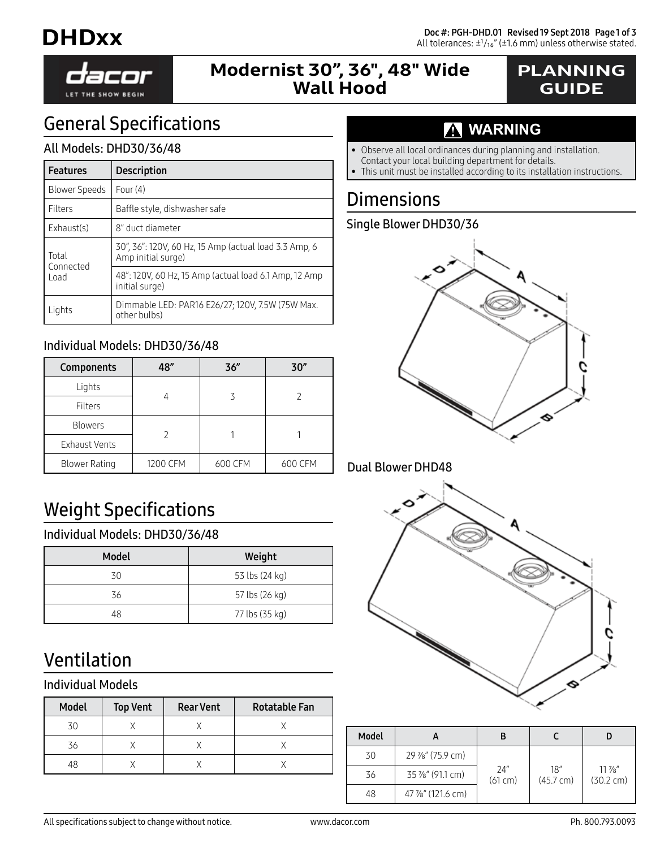

## Modernist 30", 36", 48" Wide Wall Hood

## PLANNING GUIDE

# General Specifications

#### All Models: DHD30/36/48

| <b>Features</b>            | <b>Description</b>                                                          |
|----------------------------|-----------------------------------------------------------------------------|
| Blower Speeds              | Four $(4)$                                                                  |
| Filters                    | Baffle style, dishwasher safe                                               |
| Exhaust(s)                 | 8" duct diameter                                                            |
| Total<br>Connected<br>Load | 30", 36": 120V, 60 Hz, 15 Amp (actual load 3.3 Amp, 6<br>Amp initial surge) |
|                            | 48": 120V, 60 Hz, 15 Amp (actual load 6.1 Amp, 12 Amp<br>initial surge)     |
| Lights                     | Dimmable LED: PAR16 E26/27; 120V, 7.5W (75W Max.<br>other bulbs)            |

#### Individual Models: DHD30/36/48

| Components           | 48"      | 36"     | 30"     |  |
|----------------------|----------|---------|---------|--|
| Lights               |          |         |         |  |
| Filters              |          |         |         |  |
| <b>Blowers</b>       |          |         |         |  |
| <b>Exhaust Vents</b> |          |         |         |  |
| <b>Blower Rating</b> | 1200 CFM | 600 CFM | 600 CFM |  |

# Weight Specifications

#### Individual Models: DHD30/36/48

| <b>Model</b> | Weight         |
|--------------|----------------|
| 30           | 53 lbs (24 kg) |
| 36           | 57 lbs (26 kg) |
| 48           | 77 lbs (35 kg) |

# Ventilation

#### Individual Models

| Model | <b>Top Vent</b> | <b>Rear Vent</b> | Rotatable Fan |
|-------|-----------------|------------------|---------------|
| 30    |                 |                  |               |
| 36    |                 |                  |               |
| 48    |                 |                  |               |

## **WARNING**

- Observe all local ordinances during planning and installation.
- Contact your local building department for details.
- This unit must be installed according to its installation instructions.

## **Dimensions**

#### Single Blower DHD30/36



#### Dual Blower DHD48



| Model |                  |                |                            |                                 |
|-------|------------------|----------------|----------------------------|---------------------------------|
| 30    | 29 %" (75.9 cm)  |                |                            |                                 |
| 36    | 35 %" (91.1 cm)  | 24"<br>(61 cm) | 18"<br>$(45.7 \text{ cm})$ | $11\%$ "<br>$(30.2 \text{ cm})$ |
| 48    | 47 %" (121.6 cm) |                |                            |                                 |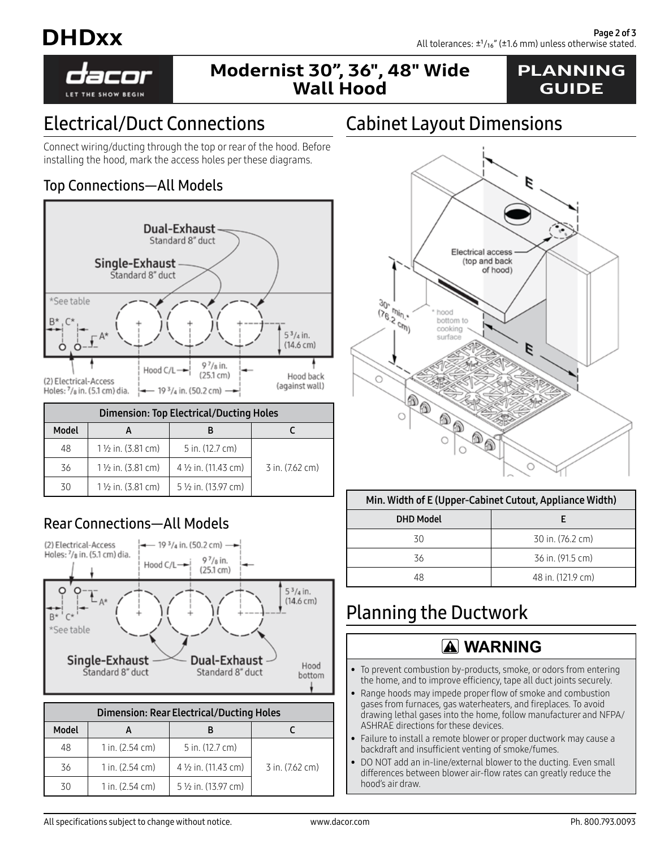



## Modernist 30", 36", 48" Wide Wall Hood

### PLANNING GUIDE

# Electrical/Duct Connections

Connect wiring/ducting through the top or rear of the hood. Before installing the hood, mark the access holes per these diagrams.

#### Top Connections—All Models



| <b>Dimension: Top Electrical/Ducting Holes</b> |                              |                      |                 |
|------------------------------------------------|------------------------------|----------------------|-----------------|
| Model                                          |                              |                      |                 |
| 48                                             | $1\frac{1}{2}$ in. (3.81 cm) | 5 in. (12.7 cm)      |                 |
| 36                                             | $1\frac{1}{2}$ in. (3.81 cm) | 4 1/2 in. (11.43 cm) | 3 in. (7.62 cm) |
| 30                                             | $1\frac{1}{2}$ in. (3.81 cm) | 5 1/2 in. (13.97 cm) |                 |

### Rear Connections—All Models



 $36$  | 1 in. (2.54 cm) | 4  $\frac{1}{2}$  in. (11.43 cm) | 3 in. (7.62 cm)

# Cabinet Layout Dimensions



#### Min. Width of E (Upper-Cabinet Cutout, Appliance Width)

| <b>DHD Model</b> |                   |  |
|------------------|-------------------|--|
| 30               | 30 in. (76.2 cm)  |  |
| 36               | 36 in. (91.5 cm)  |  |
| 48               | 48 in. (121.9 cm) |  |

# Planning the Ductwork

### **WARNING**

- To prevent combustion by-products, smoke, or odors from entering the home, and to improve efficiency, tape all duct joints securely.
- Range hoods may impede proper flow of smoke and combustion gases from furnaces, gas waterheaters, and fireplaces. To avoid drawing lethal gases into the home, follow manufacturer and NFPA/ ASHRAE directions for these devices.
- Failure to install a remote blower or proper ductwork may cause a backdraft and insufficient venting of smoke/fumes.
- DO NOT add an in-line/external blower to the ducting. Even small differences between blower air-flow rates can greatly reduce the hood's air draw.

30 | 1 in. (2.54 cm) | 5 1/2 in. (13.97 cm)